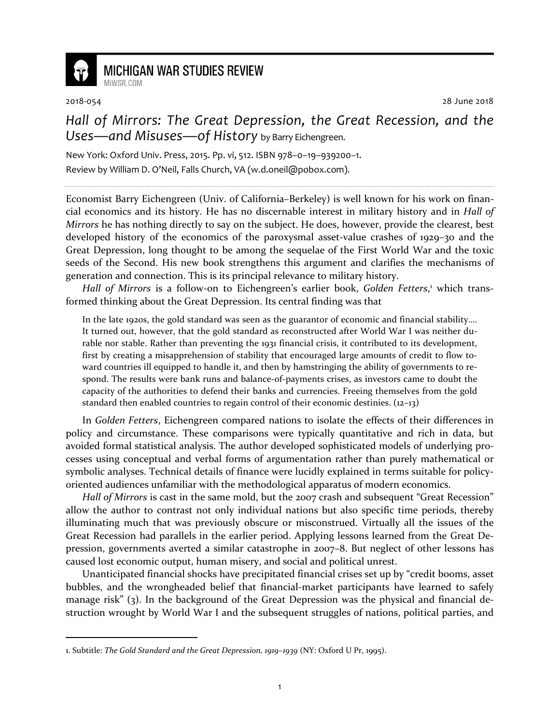

## **MICHIGAN WAR STUDIES REVIEW**

MiWSR COM

<u>.</u>

2018-054 28 June 2018

## *Hall of Mirrors: The Great Depression, the Great Recession, and the Uses—and Misuses—of History* by Barry Eichengreen.

New York: Oxford Univ. Press, 2015. Pp. vi, 512. ISBN 978–0–19–939200–1. Review by William D. O'Neil, Falls Church, VA (w.d.oneil@pobox.com).

Economist Barry Eichengreen (Univ. of California–Berkeley) is well known for his work on financial economics and its history. He has no discernable interest in military history and in *Hall of Mirrors* he has nothing directly to say on the subject. He does, however, provide the clearest, best developed history of the economics of the paroxysmal asset-value crashes of 1929–30 and the Great Depression, long thought to be among the sequelae of the First World War and the toxic seeds of the Second. His new book strengthens this argument and clarifies the mechanisms of generation and connection. This is its principal relevance to military history.

Hall of Mirrors is a follow-on to Eichengreen's earlier book, Golden Fetters,<sup>1</sup> which transformed thinking about the Great Depression. Its central finding was that

In the late 1920s, the gold standard was seen as the guarantor of economic and financial stability…. It turned out, however, that the gold standard as reconstructed after World War I was neither durable nor stable. Rather than preventing the 1931 financial crisis, it contributed to its development, first by creating a misapprehension of stability that encouraged large amounts of credit to flow toward countries ill equipped to handle it, and then by hamstringing the ability of governments to respond. The results were bank runs and balance-of-payments crises, as investors came to doubt the capacity of the authorities to defend their banks and currencies. Freeing themselves from the gold standard then enabled countries to regain control of their economic destinies. (12–13)

In *Golden Fetters*, Eichengreen compared nations to isolate the effects of their differences in policy and circumstance. These comparisons were typically quantitative and rich in data, but avoided formal statistical analysis. The author developed sophisticated models of underlying processes using conceptual and verbal forms of argumentation rather than purely mathematical or symbolic analyses. Technical details of finance were lucidly explained in terms suitable for policyoriented audiences unfamiliar with the methodological apparatus of modern economics.

*Hall of Mirrors* is cast in the same mold, but the 2007 crash and subsequent "Great Recession" allow the author to contrast not only individual nations but also specific time periods, thereby illuminating much that was previously obscure or misconstrued. Virtually all the issues of the Great Recession had parallels in the earlier period. Applying lessons learned from the Great Depression, governments averted a similar catastrophe in 2007–8. But neglect of other lessons has caused lost economic output, human misery, and social and political unrest.

Unanticipated financial shocks have precipitated financial crises set up by "credit booms, asset bubbles, and the wrongheaded belief that financial-market participants have learned to safely manage risk" (3). In the background of the Great Depression was the physical and financial destruction wrought by World War I and the subsequent struggles of nations, political parties, and

<sup>1.</sup> Subtitle: *The Gold Standard and the Great Depression, 1919–1939* (NY: Oxford U Pr, 1995).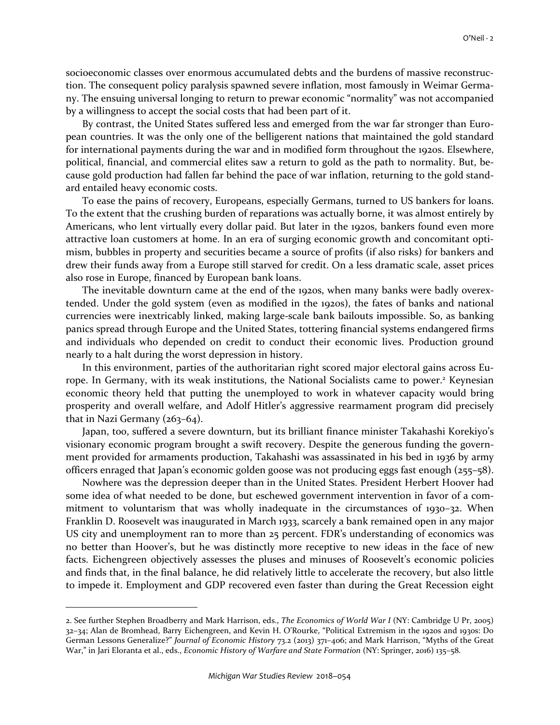socioeconomic classes over enormous accumulated debts and the burdens of massive reconstruction. The consequent policy paralysis spawned severe inflation, most famously in Weimar Germany. The ensuing universal longing to return to prewar economic "normality" was not accompanied by a willingness to accept the social costs that had been part of it.

By contrast, the United States suffered less and emerged from the war far stronger than European countries. It was the only one of the belligerent nations that maintained the gold standard for international payments during the war and in modified form throughout the 1920s. Elsewhere, political, financial, and commercial elites saw a return to gold as the path to normality. But, because gold production had fallen far behind the pace of war inflation, returning to the gold standard entailed heavy economic costs.

To ease the pains of recovery, Europeans, especially Germans, turned to US bankers for loans. To the extent that the crushing burden of reparations was actually borne, it was almost entirely by Americans, who lent virtually every dollar paid. But later in the 1920s, bankers found even more attractive loan customers at home. In an era of surging economic growth and concomitant optimism, bubbles in property and securities became a source of profits (if also risks) for bankers and drew their funds away from a Europe still starved for credit. On a less dramatic scale, asset prices also rose in Europe, financed by European bank loans.

The inevitable downturn came at the end of the 1920s, when many banks were badly overextended. Under the gold system (even as modified in the 1920s), the fates of banks and national currencies were inextricably linked, making large-scale bank bailouts impossible. So, as banking panics spread through Europe and the United States, tottering financial systems endangered firms and individuals who depended on credit to conduct their economic lives. Production ground nearly to a halt during the worst depression in history.

In this environment, parties of the authoritarian right scored major electoral gains across Europe. In Germany, with its weak institutions, the National Socialists came to power.<sup>2</sup> Keynesian economic theory held that putting the unemployed to work in whatever capacity would bring prosperity and overall welfare, and Adolf Hitler's aggressive rearmament program did precisely that in Nazi Germany (263–64).

Japan, too, suffered a severe downturn, but its brilliant finance minister Takahashi Korekiyo's visionary economic program brought a swift recovery. Despite the generous funding the government provided for armaments production, Takahashi was assassinated in his bed in 1936 by army officers enraged that Japan's economic golden goose was not producing eggs fast enough (255–58).

Nowhere was the depression deeper than in the United States. President Herbert Hoover had some idea of what needed to be done, but eschewed government intervention in favor of a commitment to voluntarism that was wholly inadequate in the circumstances of 1930–32. When Franklin D. Roosevelt was inaugurated in March 1933, scarcely a bank remained open in any major US city and unemployment ran to more than 25 percent. FDR's understanding of economics was no better than Hoover's, but he was distinctly more receptive to new ideas in the face of new facts. Eichengreen objectively assesses the pluses and minuses of Roosevelt's economic policies and finds that, in the final balance, he did relatively little to accelerate the recovery, but also little to impede it. Employment and GDP recovered even faster than during the Great Recession eight

<u>.</u>

<sup>2.</sup> See further Stephen Broadberry and Mark Harrison, eds., *The Economics of World War I* (NY: Cambridge U Pr, 2005) 32–34; Alan de Bromhead, Barry Eichengreen, and Kevin H. O'Rourke, "Political Extremism in the 1920s and 1930s: Do German Lessons Generalize?" *Journal of Economic History* 73.2 (2013) 371–406; and Mark Harrison, "Myths of the Great War," in Jari Eloranta et al., eds., *Economic History of Warfare and State Formation* (NY: Springer, 2016) 135–58.